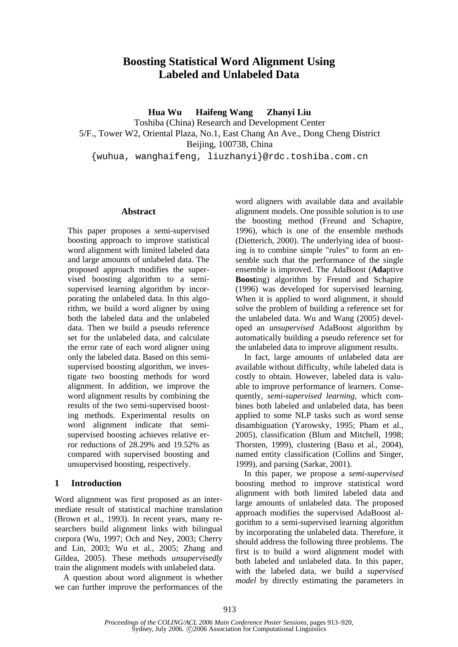# **Boosting Statistical Word Alignment Using Labeled and Unlabeled Data**

**Hua Wu Haifeng Wang Zhanyi Liu**  Toshiba (China) Research and Development Center 5/F., Tower W2, Oriental Plaza, No.1, East Chang An Ave., Dong Cheng District Beijing, 100738, China

{wuhua, wanghaifeng, liuzhanyi}@rdc.toshiba.com.cn

#### **Abstract**

This paper proposes a semi-supervised boosting approach to improve statistical word alignment with limited labeled data and large amounts of unlabeled data. The proposed approach modifies the supervised boosting algorithm to a semisupervised learning algorithm by incorporating the unlabeled data. In this algorithm, we build a word aligner by using both the labeled data and the unlabeled data. Then we build a pseudo reference set for the unlabeled data, and calculate the error rate of each word aligner using only the labeled data. Based on this semisupervised boosting algorithm, we investigate two boosting methods for word alignment. In addition, we improve the word alignment results by combining the results of the two semi-supervised boosting methods. Experimental results on word alignment indicate that semisupervised boosting achieves relative error reductions of 28.29% and 19.52% as compared with supervised boosting and unsupervised boosting, respectively.

# **1 Introduction**

Word alignment was first proposed as an intermediate result of statistical machine translation (Brown et al., 1993). In recent years, many researchers build alignment links with bilingual corpora (Wu, 1997; Och and Ney, 2003; Cherry and Lin, 2003; Wu et al., 2005; Zhang and Gildea, 2005). These methods *unsupervisedly* train the alignment models with unlabeled data.

A question about word alignment is whether we can further improve the performances of the

word aligners with available data and available alignment models. One possible solution is to use the boosting method (Freund and Schapire, 1996), which is one of the ensemble methods (Dietterich, 2000). The underlying idea of boosting is to combine simple "rules" to form an ensemble such that the performance of the single ensemble is improved. The AdaBoost (**Ada**ptive **Boost**ing) algorithm by Freund and Schapire (1996) was developed for supervised learning. When it is applied to word alignment, it should solve the problem of building a reference set for the unlabeled data. Wu and Wang (2005) developed an *unsupervised* AdaBoost algorithm by automatically building a pseudo reference set for the unlabeled data to improve alignment results.

In fact, large amounts of unlabeled data are available without difficulty, while labeled data is costly to obtain. However, labeled data is valuable to improve performance of learners. Consequently, *semi-supervised learning,* which combines both labeled and unlabeled data, has been applied to some NLP tasks such as word sense disambiguation (Yarowsky, 1995; Pham et al., 2005), classification (Blum and Mitchell, 1998; Thorsten, 1999), clustering (Basu et al., 2004), named entity classification (Collins and Singer, 1999), and parsing (Sarkar, 2001).

In this paper, we propose a *semi-supervised* boosting method to improve statistical word alignment with both limited labeled data and large amounts of unlabeled data. The proposed approach modifies the supervised AdaBoost algorithm to a semi-supervised learning algorithm by incorporating the unlabeled data. Therefore, it should address the following three problems. The first is to build a word alignment model with both labeled and unlabeled data. In this paper, with the labeled data, we build a *supervised model* by directly estimating the parameters in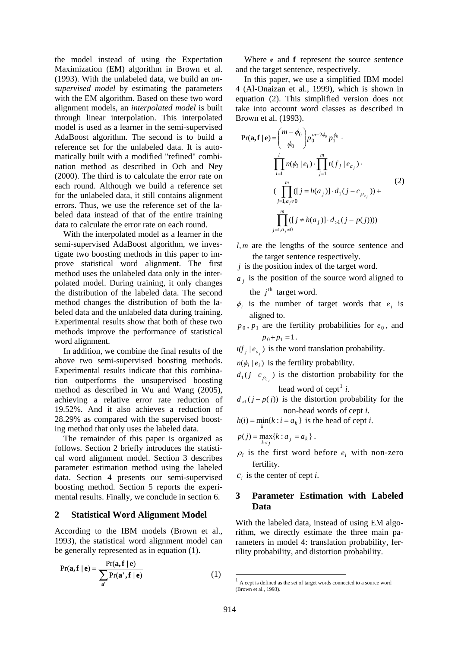the model instead of using the Expectation Maximization (EM) algorithm in Brown et al. (1993). With the unlabeled data, we build an *unsupervised model* by estimating the parameters with the EM algorithm. Based on these two word alignment models, an *interpolated model* is built through linear interpolation. This interpolated model is used as a learner in the semi-supervised AdaBoost algorithm. The second is to build a reference set for the unlabeled data. It is automatically built with a modified "refined" combination method as described in Och and Ney (2000). The third is to calculate the error rate on each round. Although we build a reference set for the unlabeled data, it still contains alignment errors. Thus, we use the reference set of the labeled data instead of that of the entire training data to calculate the error rate on each round.

With the interpolated model as a learner in the semi-supervised AdaBoost algorithm, we investigate two boosting methods in this paper to improve statistical word alignment. The first method uses the unlabeled data only in the interpolated model. During training, it only changes the distribution of the labeled data. The second method changes the distribution of both the labeled data and the unlabeled data during training. Experimental results show that both of these two methods improve the performance of statistical word alignment.

In addition, we combine the final results of the above two semi-supervised boosting methods. Experimental results indicate that this combination outperforms the unsupervised boosting method as described in Wu and Wang (2005), achieving a relative error rate reduction of 19.52%. And it also achieves a reduction of 28.29% as compared with the supervised boosting method that only uses the labeled data.

The remainder of this paper is organized as follows. Section 2 briefly introduces the statistical word alignment model. Section 3 describes parameter estimation method using the labeled data. Section 4 presents our semi-supervised boosting method. Section 5 reports the experimental results. Finally, we conclude in section 6.

#### **2 Statistical Word Alignment Model**

According to the IBM models (Brown et al., 1993), the statistical word alignment model can be generally represented as in equation (1).

$$
\Pr(\mathbf{a}, \mathbf{f} \mid \mathbf{e}) = \frac{\Pr(\mathbf{a}, \mathbf{f} \mid \mathbf{e})}{\sum_{\mathbf{a}'} \Pr(\mathbf{a}', \mathbf{f} \mid \mathbf{e})}
$$
(1)

Where e and **f** represent the source sentence and the target sentence, respectively.

In this paper, we use a simplified IBM model 4 (Al-Onaizan et al., 1999), which is shown in equation (2). This simplified version does not take into account word classes as described in Brown et al. (1993).

$$
\Pr(\mathbf{a}, \mathbf{f} | \mathbf{e}) = \left(\begin{array}{c} m - \phi_0 \\ \phi_0 \end{array}\right) p_0^{m - 2\phi_0} p_1^{\phi_0} .
$$
\n
$$
\prod_{i=1}^l n(\phi_i | e_i) \cdot \prod_{j=1}^m t(f_j | e_{a_j}) .
$$
\n
$$
\left(\prod_{j=1, a_j \neq 0}^m ([j = h(a_j)] \cdot d_1(j - c_{\rho_{a_j}})) + \prod_{j=1, a_j \neq 0}^m ([j \neq h(a_j)] \cdot d_{>1} (j - p(j)) )\right)
$$
\n(2)

- $l, m$  are the lengths of the source sentence and the target sentence respectively.
- *j* is the position index of the target word.
- $a_i$  is the position of the source word aligned to the  $j^{\text{th}}$  target word.
- $\phi_i$  is the number of target words that  $e_i$  is aligned to.
- $p_0$ ,  $p_1$  are the fertility probabilities for  $e_0$ , and  $p_0 + p_1 = 1$ .
- $f(f_j | e_{a_j})$  is the word translation probability.
- $n(\phi_i | e_i)$  is the fertility probability.
- $d_1(j c_{\rho_{a}})$  is the distortion probability for the head word of cept<sup>1</sup> *i*.
- $d_{>1}(j p(j))$  is the distortion probability for the non-head words of cept *i*.
- $h(i) = \min_{k} \{ k : i = a_k \}$  is the head of cept *i*.

$$
p(j) = \max_{k < j} \{k : a_j = a_k\} \, .
$$

- $\rho_i$  is the first word before  $e_i$  with non-zero fertility.
- $c_i$  is the center of cept *i*.

# **3 Parameter Estimation with Labeled Data**

With the labeled data, instead of using EM algorithm, we directly estimate the three main parameters in model 4: translation probability, fertility probability, and distortion probability.

<sup>1</sup> A cept is defined as the set of target words connected to a source word (Brown et al., 1993).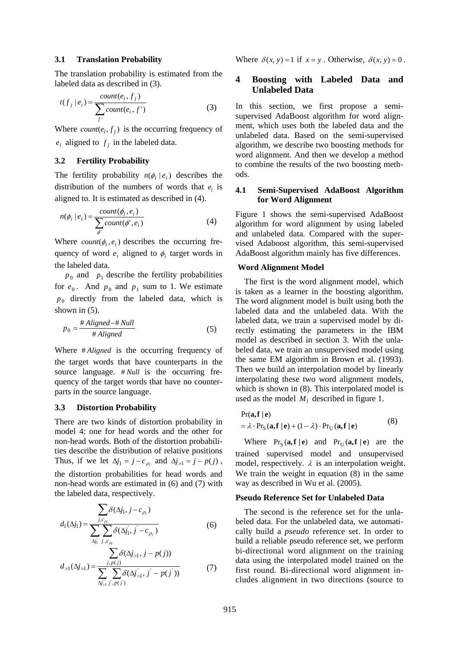The translation probability is estimated from the labeled data as described in (3). **4 Boosting with Labeled Data and** 

$$
t(f_j | e_i) = \frac{count(e_i, f_j)}{\sum_{f'} count(e_i, f')} \tag{3}
$$

Where  $count(e_i, f_j)$  is the occurring frequency of  $e_i$  aligned to  $f_j$  in the labeled data.

## **3.2 Fertility Probability**

The fertility probability  $n(\phi_i | e_i)$  describes the distribution of the numbers of words that  $e_i$  is aligned to. It is estimated as described in (4).

$$
n(\phi_i \mid e_i) = \frac{count(\phi_i, e_i)}{\sum_{\phi'} count(\phi', e_i)}
$$
(4)

Where  $count(\phi_i, e_i)$  describes the occurring frequency of word  $e_i$  aligned to  $\phi_i$  target words in the labeled data. **Word Alignment Model** 

 $p_0$  and  $p_1$  describe the fertility probabilities for  $e_0$ . And  $p_0$  and  $p_1$  sum to 1. We estimate  $p_0$  directly from the labeled data, which is shown in (5).

$$
p_0 = \frac{\text{#}\text{Aligned} - \text{#}\text{Null}}{\text{#}\text{Aligned}}\tag{5}
$$

Where # *Aligned* is the occurring frequency of the target words that have counterparts in the source language. # *Null* is the occurring frequency of the target words that have no counterparts in the source language.

#### **3.3 Distortion Probability**

There are two kinds of distortion probability in model 4: one for head words and the other for non-head words. Both of the distortion probabilities describe the distribution of relative positions Thus, if we let  $\Delta j_1 = j - c_{\rho_i}$  and  $\Delta j_{>1} = j - p(j)$ , the distortion probabilities for head words and non-head words are estimated in (6) and (7) with the labeled data, respectively.

$$
d_1(\Delta j_1) = \frac{\sum_{j,c_{\rho_i}} \delta(\Delta j_1, j - c_{\rho_i})}{\sum_{\Delta j_i} \sum_{j,c_{\rho_i}} \delta(\Delta j_1, j - c_{\rho_i})}
$$
(6)

$$
d_{>1}(\Delta j_{>1}) = \frac{\sum_{j,p(j)}^{n} \delta(\Delta j_{>1}, j - p(j))}{\sum_{\Delta j_{>1}}^{n} \sum_{j,p(j)}^{n} \delta(\Delta j_{>1}, j - p(j'))}
$$
(7)

**3.1 Translation Probability** Where  $\delta(x, y) = 1$  if  $x = y$ . Otherwise,  $\delta(x, y) = 0$ .

# **Unlabeled Data**

In this section, we first propose a semisupervised AdaBoost algorithm for word alignment, which uses both the labeled data and the unlabeled data. Based on the semi-supervised algorithm, we describe two boosting methods for word alignment. And then we develop a method to combine the results of the two boosting methods.

#### *<sup>i</sup> <sup>e</sup>* **4.1 Semi-Supervised AdaBoost Algorithm for Word Alignment**

Figure 1 shows the semi-supervised AdaBoost algorithm for word alignment by using labeled and unlabeled data. Compared with the supervised Adaboost algorithm, this semi-supervised AdaBoost algorithm mainly has five differences.

The first is the word alignment model, which is taken as a learner in the boosting algorithm. The word alignment model is built using both the labeled data and the unlabeled data. With the labeled data, we train a supervised model by directly estimating the parameters in the IBM model as described in section 3. With the unlabeled data, we train an unsupervised model using the same EM algorithm in Brown et al. (1993). Then we build an interpolation model by linearly interpolating these two word alignment models, which is shown in (8). This interpolated model is used as the model  $M_l$  described in figure 1.

$$
Pr(\mathbf{a}, \mathbf{f} | \mathbf{e})
$$
  
=  $\lambda \cdot Pr_S(\mathbf{a}, \mathbf{f} | \mathbf{e}) + (1 - \lambda) \cdot Pr_U(\mathbf{a}, \mathbf{f} | \mathbf{e})$  (8)

Where  $Pr_S(a, f | e)$  and  $Pr_U(a, f | e)$  are the trained supervised model and unsupervised model, respectively.  $\lambda$  is an interpolation weight. We train the weight in equation (8) in the same way as described in Wu et al. (2005).

#### **Pseudo Reference Set for Unlabeled Data**

The second is the reference set for the unlabeled data. For the unlabeled data, we automatically build a *pseudo* reference set. In order to build a reliable pseudo reference set, we perform bi-directional word alignment on the training data using the interpolated model trained on the first round. Bi-directional word alignment includes alignment in two directions (source to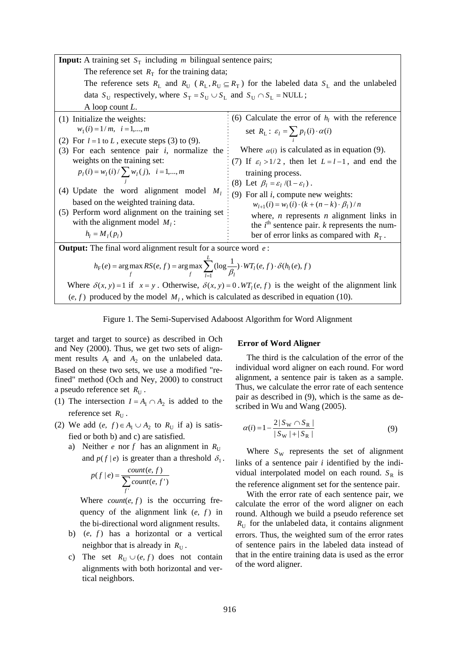**Input:** A training set  $S_T$  including *m* bilingual sentence pairs; The reference set  $R<sub>T</sub>$  for the training data; The reference sets  $R_L$  and  $R_U$  ( $R_L, R_U \subseteq R_T$ ) for the labeled data  $S_L$  and the unlabeled data  $S_U$  respectively, where  $S_T = S_U \cup S_L$  and  $S_U \cap S_L = NULL$ ; A loop count *L*. (1) Initialize the weights:  $w_1(i) = 1/m, i = 1,...,m$ (2) For  $l = 1$  to L, execute steps (3) to (9). (3) For each sentence pair *i*, normalize the weights on the training set:  $= w_l(i) / \sum_j w_l(j), i =$  $p_l(i) = w_l(i) / \sum w_l(j), i = 1,...,m$ (4) Update the word alignment model  $M_l$ based on the weighted training data. (5) Perform word alignment on the training set with the alignment model  $M_l$ :  $h_l = M_l(p_l)$ (6) Calculate the error of  $h_l$  with the reference set  $R_{\text{L}}$ :  $\varepsilon_l = \sum_i p_l(i)$ .  $\varepsilon_l = \sum p_l(i) \cdot \alpha(i)$ Where  $\alpha(i)$  is calculated as in equation (9). (7) If  $\varepsilon_l > 1/2$ , then let  $L = l - 1$ , and end the training process. (8) Let  $\beta_1 = \varepsilon_1/(1-\varepsilon_1)$ . (9) For all *i*, compute new weights:  $w_{l+1}(i) = w_l(i) \cdot (k + (n-k) \cdot \beta_l)/n$ where, *n* represents *n* alignment links in the  $i<sup>th</sup>$  sentence pair.  $k$  represents the number of error links as compared with  $R<sub>T</sub>$ . **Output:** The final word alignment result for a source word *e* :  $=\arg \max_{f} RS(e, f) = \arg \max_{f} \sum_{l=1}^{\infty} (\log \frac{1}{\beta_l}) \cdot WT_l(e, f)$ . *L l*  $\lim_{f}$  *l*  $\lim_{f}$   $\lim_{l \to \infty}$   $\lim_{l \to \infty}$   $\lim_{l \to \infty}$   $\lim_{l \to \infty}$   $\lim_{l \to \infty}$   $\lim_{l \to \infty}$   $\lim_{l \to \infty}$   $\lim_{l \to \infty}$  $h_F(e) = \arg \max RS(e, f) = \arg \max \sum (\log \frac{1}{e}, \frac{1}{e}, \frac{1}{e}, \frac{1}{f}, \frac{1}{e}, \frac{1}{f}) \cdot \delta(h_i(e), f)$ 1  $F_F(e) = \arg \max_{f} RS(e, f) = \arg \max_{f} \sum_{l=1}^{L} (\log \frac{1}{\beta_l}) \cdot WT_l(e, f) \cdot \delta(h_l(e), f)$ Where  $\delta(x, y) = 1$  if  $x = y$ . Otherwise,  $\delta(x, y) = 0$ .  $WT_l(e, f)$  is the weight of the alignment link  $(e, f)$  produced by the model  $M_l$ , which is calculated as described in equation (10).

Figure 1. The Semi-Supervised Adaboost Algorithm for Word Alignment

target and target to source) as described in Och and Ney (2000). Thus, we get two sets of alignment results  $A_1$  and  $A_2$  on the unlabeled data. Based on these two sets, we use a modified "refined" method (Och and Ney, 2000) to construct a pseudo reference set  $R_U$ .

- (1) The intersection  $I = A_1 \cap A_2$  is added to the reference set  $R_U$ .
- (2) We add  $(e, f) \in A_1 \cup A_2$  to  $R_U$  if a) is satisfied or both b) and c) are satisfied.
	- a) Neither *e* nor *f* has an alignment in  $R_U$ and  $p(f|e)$  is greater than a threshold  $\delta_1$ .

$$
p(f | e) = \frac{count(e, f)}{\sum_{f'} count(e, f')}
$$

Where  $count(e, f)$  is the occurring frequency of the alignment link  $(e, f)$  in the bi-directional word alignment results.

- b)  $(e, f)$  has a horizontal or a vertical neighbor that is already in  $R_U$ .
- c) The set  $R_U \cup (e, f)$  does not contain alignments with both horizontal and vertical neighbors.

#### **Error of Word Aligner**

The third is the calculation of the error of the individual word aligner on each round. For word alignment, a sentence pair is taken as a sample. Thus, we calculate the error rate of each sentence pair as described in (9), which is the same as described in Wu and Wang (2005).

$$
\alpha(i) = 1 - \frac{2|S_{\rm W} \cap S_{\rm R}|}{|S_{\rm W}| + |S_{\rm R}|} \tag{9}
$$

Where  $S_W$  represents the set of alignment links of a sentence pair *i* identified by the individual interpolated model on each round.  $S_R$  is the reference alignment set for the sentence pair.

With the error rate of each sentence pair, we calculate the error of the word aligner on each round. Although we build a pseudo reference set  $R_U$  for the unlabeled data, it contains alignment errors. Thus, the weighted sum of the error rates of sentence pairs in the labeled data instead of that in the entire training data is used as the error of the word aligner.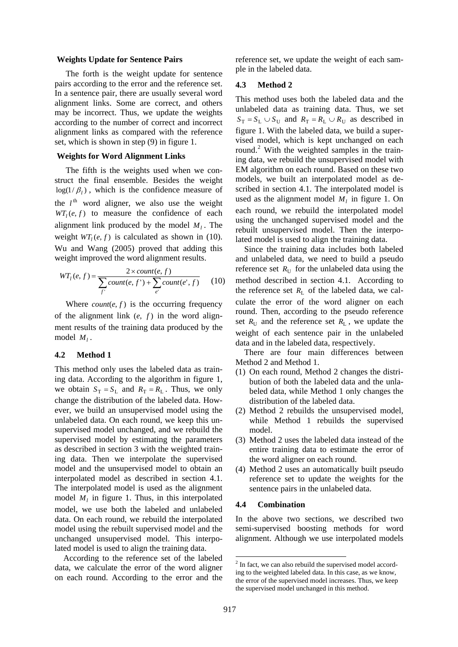#### **Weights Update for Sentence Pairs**

The forth is the weight update for sentence pairs according to the error and the reference set. In a sentence pair, there are usually several word alignment links. Some are correct, and others may be incorrect. Thus, we update the weights according to the number of correct and incorrect alignment links as compared with the reference set, which is shown in step (9) in figure 1.

### **Weights for Word Alignment Links**

The fifth is the weights used when we construct the final ensemble. Besides the weight  $log(1/\beta_l)$ , which is the confidence measure of the  $l^{\text{th}}$  word aligner, we also use the weight  $WT_l(e, f)$  to measure the confidence of each alignment link produced by the model  $M_l$ . The weight  $WT_l(e, f)$  is calculated as shown in (10). Wu and Wang (2005) proved that adding this weight improved the word alignment results.

$$
WTl(e, f) = \frac{2 \times count(e, f)}{\sum_{f'} count(e, f') + \sum_{e'} count(e', f)} \tag{10}
$$

Where  $count(e, f)$  is the occurring frequency of the alignment link  $(e, f)$  in the word alignment results of the training data produced by the model  $M_l$ .

#### **4.2 Method 1**

This method only uses the labeled data as training data. According to the algorithm in figure 1, we obtain  $S_T = S_L$  and  $R_T = R_L$ . Thus, we only change the distribution of the labeled data. However, we build an unsupervised model using the unlabeled data. On each round, we keep this unsupervised model unchanged, and we rebuild the supervised model by estimating the parameters as described in section 3 with the weighted training data. Then we interpolate the supervised model and the unsupervised model to obtain an interpolated model as described in section 4.1. The interpolated model is used as the alignment model  $M_l$  in figure 1. Thus, in this interpolated model, we use both the labeled and unlabeled data. On each round, we rebuild the interpolated model using the rebuilt supervised model and the unchanged unsupervised model. This interpolated model is used to align the training data.

According to the reference set of the labeled data, we calculate the error of the word aligner on each round. According to the error and the reference set, we update the weight of each sample in the labeled data.

### **4.3 Method 2**

This method uses both the labeled data and the unlabeled data as training data. Thus, we set  $S_T = S_L \cup S_U$  and  $R_T = R_L \cup R_U$  as described in figure 1. With the labeled data, we build a supervised model, which is kept unchanged on each round.<sup>2</sup> With the weighted samples in the training data, we rebuild the unsupervised model with EM algorithm on each round. Based on these two models, we built an interpolated model as described in section 4.1. The interpolated model is used as the alignment model  $M_l$  in figure 1. On each round, we rebuild the interpolated model using the unchanged supervised model and the rebuilt unsupervised model. Then the interpolated model is used to align the training data.

Since the training data includes both labeled and unlabeled data, we need to build a pseudo reference set  $R_U$  for the unlabeled data using the method described in section 4.1. According to the reference set  $R_L$  of the labeled data, we calculate the error of the word aligner on each round. Then, according to the pseudo reference set  $R_U$  and the reference set  $R_L$ , we update the weight of each sentence pair in the unlabeled data and in the labeled data, respectively.

There are four main differences between Method 2 and Method 1.

- (1) On each round, Method 2 changes the distribution of both the labeled data and the unlabeled data, while Method 1 only changes the distribution of the labeled data.
- (2) Method 2 rebuilds the unsupervised model, while Method 1 rebuilds the supervised model.
- (3) Method 2 uses the labeled data instead of the entire training data to estimate the error of the word aligner on each round.
- (4) Method 2 uses an automatically built pseudo reference set to update the weights for the sentence pairs in the unlabeled data.

#### **4.4 Combination**

In the above two sections, we described two semi-supervised boosting methods for word alignment. Although we use interpolated models

**EXECUTE:**<br>
<sup>2</sup> In fact, we can also rebuild the supervised model according to the weighted labeled data. In this case, as we know, the error of the supervised model increases. Thus, we keep the supervised model unchanged in this method.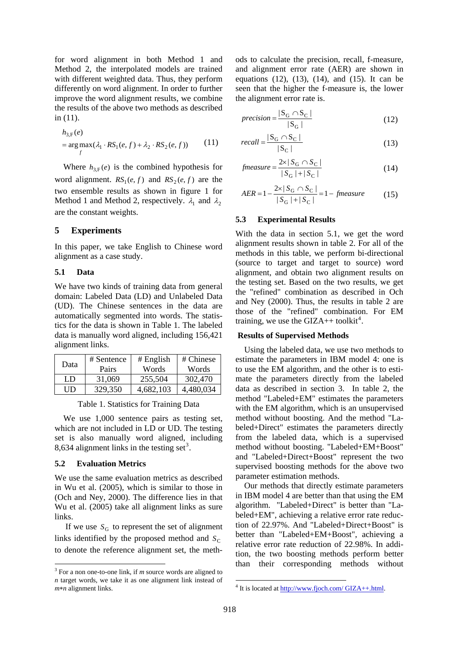for word alignment in both Method 1 and Method 2, the interpolated models are trained with different weighted data. Thus, they perform differently on word alignment. In order to further improve the word alignment results, we combine the results of the above two methods as described in (11).

$$
h_{3,F}(e)
$$
  
= arg max( $\lambda_1 \cdot RS_1(e, f) + \lambda_2 \cdot RS_2(e, f)$ ) (11)

Where  $h_{3,F}(e)$  is the combined hypothesis for  $\qquad \text{fmeasure} = \frac{2 \times |S_G \cap}{|S_G|}$ word alignment.  $RS_1(e, f)$  and  $RS_2(e, f)$  are the two ensemble results as shown in figure 1 for Method 1 and Method 2, respectively.  $\lambda_1$  and  $\lambda_2$ are the constant weights.

In this paper, we take English to Chinese word alignment as a case study.

#### **5.1 Data**

We have two kinds of training data from general domain: Labeled Data (LD) and Unlabeled Data (UD). The Chinese sentences in the data are automatically segmented into words. The statistics for the data is shown in Table 1. The labeled data is manually word aligned, including 156,421 alignment links.

| Data | # Sentence<br>Pairs | $#$ English<br>Words | # Chinese<br>Words |
|------|---------------------|----------------------|--------------------|
| LD   | 31,069              | 255,504              | 302,470            |
| UD   | 329,350             | 4,682,103            | 4,480,034          |

Table 1. Statistics for Training Data

We use 1,000 sentence pairs as testing set, which are not included in LD or UD. The testing set is also manually word aligned, including 8,634 alignment links in the testing set<sup>3</sup>.

#### **5.2 Evaluation Metrics**

We use the same evaluation metrics as described in Wu et al. (2005), which is similar to those in (Och and Ney, 2000). The difference lies in that Wu et al. (2005) take all alignment links as sure links.

If we use  $S_G$  to represent the set of alignment links identified by the proposed method and  $S_C$ to denote the reference alignment set, the methods to calculate the precision, recall, f-measure, and alignment error rate (AER) are shown in equations (12), (13), (14), and (15). It can be seen that the higher the f-measure is, the lower the alignment error rate is.

$$
precision = \frac{|S_G \cap S_C|}{|S_G|}
$$
 (12)

$$
(11) \trecall = \frac{|S_G \cap S_C|}{|S_C|} \t(13)
$$

$$
fmeasure = \frac{2 \times |S_G \cap S_C|}{|S_G| + |S_C|}
$$
(14)

$$
AER = 1 - \frac{2 \times |S_G \cap S_C|}{|S_G| + |S_C|} = 1 - \text{fmeasure}
$$
 (15)

#### **5.3 Experimental Results**

**5 Experiments** With the data in section 5.1, we get the word alignment results shown in table 2. For all of the methods in this table, we perform bi-directional (source to target and target to source) word alignment, and obtain two alignment results on the testing set. Based on the two results, we get the "refined" combination as described in Och and Ney (2000). Thus, the results in table 2 are those of the "refined" combination. For EM training, we use the GIZA++ toolkit<sup>4</sup>.

#### **Results of Supervised Methods**

Using the labeled data, we use two methods to estimate the parameters in IBM model 4: one is to use the EM algorithm, and the other is to estimate the parameters directly from the labeled data as described in section 3. In table 2, the method "Labeled+EM" estimates the parameters with the EM algorithm, which is an unsupervised method without boosting. And the method "Labeled+Direct" estimates the parameters directly from the labeled data, which is a supervised method without boosting. "Labeled+EM+Boost" and "Labeled+Direct+Boost" represent the two supervised boosting methods for the above two parameter estimation methods.

Our methods that directly estimate parameters in IBM model 4 are better than that using the EM algorithm. "Labeled+Direct" is better than "Labeled+EM", achieving a relative error rate reduction of 22.97%. And "Labeled+Direct+Boost" is better than "Labeled+EM+Boost", achieving a relative error rate reduction of 22.98%. In addition, the two boosting methods perform better than their corresponding methods without

<sup>&</sup>lt;sup>3</sup> For a non one-to-one link, if *m* source words are aligned to *n* target words, we take it as one alignment link instead of *m*∗*n* alignment links.

<sup>&</sup>lt;sup>4</sup> It is located at  $\frac{http://www.fjoch.com/GIZA++.html}{http://www.fjoch.com/GIZA++.html}.$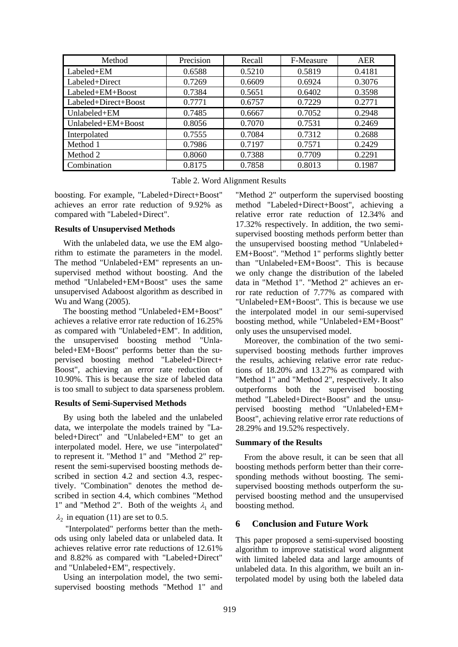| Method               | Precision | Recall | F-Measure | <b>AER</b> |
|----------------------|-----------|--------|-----------|------------|
| Labeled+EM           | 0.6588    | 0.5210 | 0.5819    | 0.4181     |
| Labeled+Direct       | 0.7269    | 0.6609 | 0.6924    | 0.3076     |
| Labeled+EM+Boost     | 0.7384    | 0.5651 | 0.6402    | 0.3598     |
| Labeled+Direct+Boost | 0.7771    | 0.6757 | 0.7229    | 0.2771     |
| Unlabeled+EM         | 0.7485    | 0.6667 | 0.7052    | 0.2948     |
| Unlabeled+EM+Boost   | 0.8056    | 0.7070 | 0.7531    | 0.2469     |
| Interpolated         | 0.7555    | 0.7084 | 0.7312    | 0.2688     |
| Method 1             | 0.7986    | 0.7197 | 0.7571    | 0.2429     |
| Method 2             | 0.8060    | 0.7388 | 0.7709    | 0.2291     |
| Combination          | 0.8175    | 0.7858 | 0.8013    | 0.1987     |

Table 2. Word Alignment Results

boosting. For example, "Labeled+Direct+Boost" achieves an error rate reduction of 9.92% as compared with "Labeled+Direct".

## **Results of Unsupervised Methods**

With the unlabeled data, we use the EM algorithm to estimate the parameters in the model. The method "Unlabeled+EM" represents an unsupervised method without boosting. And the method "Unlabeled+EM+Boost" uses the same unsupervised Adaboost algorithm as described in Wu and Wang (2005).

The boosting method "Unlabeled+EM+Boost" achieves a relative error rate reduction of 16.25% as compared with "Unlabeled+EM". In addition, the unsupervised boosting method "Unlabeled+EM+Boost" performs better than the supervised boosting method "Labeled+Direct+ Boost", achieving an error rate reduction of 10.90%. This is because the size of labeled data is too small to subject to data sparseness problem.

#### **Results of Semi-Supervised Methods**

By using both the labeled and the unlabeled data, we interpolate the models trained by "Labeled+Direct" and "Unlabeled+EM" to get an interpolated model. Here, we use "interpolated" to represent it. "Method 1" and "Method 2" represent the semi-supervised boosting methods described in section 4.2 and section 4.3, respectively. "Combination" denotes the method described in section 4.4, which combines "Method 1" and "Method 2". Both of the weights  $\lambda_1$  and  $\lambda_2$  in equation (11) are set to 0.5.

 "Interpolated" performs better than the methods using only labeled data or unlabeled data. It achieves relative error rate reductions of 12.61% and 8.82% as compared with "Labeled+Direct" and "Unlabeled+EM", respectively.

Using an interpolation model, the two semisupervised boosting methods "Method 1" and

"Method 2" outperform the supervised boosting method "Labeled+Direct+Boost", achieving a relative error rate reduction of 12.34% and 17.32% respectively. In addition, the two semisupervised boosting methods perform better than the unsupervised boosting method "Unlabeled+ EM+Boost". "Method 1" performs slightly better than "Unlabeled+EM+Boost". This is because we only change the distribution of the labeled data in "Method 1". "Method 2" achieves an error rate reduction of 7.77% as compared with "Unlabeled+EM+Boost". This is because we use the interpolated model in our semi-supervised boosting method, while "Unlabeled+EM+Boost" only uses the unsupervised model.

Moreover, the combination of the two semisupervised boosting methods further improves the results, achieving relative error rate reductions of 18.20% and 13.27% as compared with "Method 1" and "Method 2", respectively. It also outperforms both the supervised boosting method "Labeled+Direct+Boost" and the unsupervised boosting method "Unlabeled+EM+ Boost", achieving relative error rate reductions of 28.29% and 19.52% respectively.

# **Summary of the Results**

From the above result, it can be seen that all boosting methods perform better than their corresponding methods without boosting. The semisupervised boosting methods outperform the supervised boosting method and the unsupervised boosting method.

# **6 Conclusion and Future Work**

This paper proposed a semi-supervised boosting algorithm to improve statistical word alignment with limited labeled data and large amounts of unlabeled data. In this algorithm, we built an interpolated model by using both the labeled data